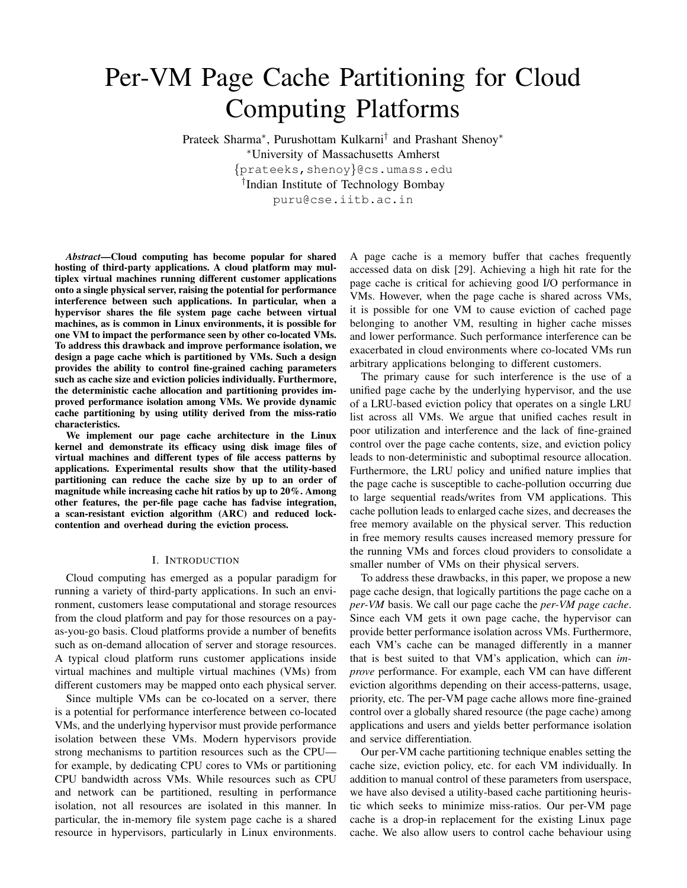# Per-VM Page Cache Partitioning for Cloud Computing Platforms

Prateek Sharma<sup>∗</sup> , Purushottam Kulkarni† and Prashant Shenoy<sup>∗</sup> <sup>∗</sup>University of Massachusetts Amherst {prateeks,shenoy}@cs.umass.edu † Indian Institute of Technology Bombay puru@cse.iitb.ac.in

*Abstract*—Cloud computing has become popular for shared hosting of third-party applications. A cloud platform may multiplex virtual machines running different customer applications onto a single physical server, raising the potential for performance interference between such applications. In particular, when a hypervisor shares the file system page cache between virtual machines, as is common in Linux environments, it is possible for one VM to impact the performance seen by other co-located VMs. To address this drawback and improve performance isolation, we design a page cache which is partitioned by VMs. Such a design provides the ability to control fine-grained caching parameters such as cache size and eviction policies individually. Furthermore, the deterministic cache allocation and partitioning provides improved performance isolation among VMs. We provide dynamic cache partitioning by using utility derived from the miss-ratio characteristics.

We implement our page cache architecture in the Linux kernel and demonstrate its efficacy using disk image files of virtual machines and different types of file access patterns by applications. Experimental results show that the utility-based partitioning can reduce the cache size by up to an order of magnitude while increasing cache hit ratios by up to 20%. Among other features, the per-file page cache has fadvise integration, a scan-resistant eviction algorithm (ARC) and reduced lockcontention and overhead during the eviction process.

# I. INTRODUCTION

Cloud computing has emerged as a popular paradigm for running a variety of third-party applications. In such an environment, customers lease computational and storage resources from the cloud platform and pay for those resources on a payas-you-go basis. Cloud platforms provide a number of benefits such as on-demand allocation of server and storage resources. A typical cloud platform runs customer applications inside virtual machines and multiple virtual machines (VMs) from different customers may be mapped onto each physical server.

Since multiple VMs can be co-located on a server, there is a potential for performance interference between co-located VMs, and the underlying hypervisor must provide performance isolation between these VMs. Modern hypervisors provide strong mechanisms to partition resources such as the CPU for example, by dedicating CPU cores to VMs or partitioning CPU bandwidth across VMs. While resources such as CPU and network can be partitioned, resulting in performance isolation, not all resources are isolated in this manner. In particular, the in-memory file system page cache is a shared resource in hypervisors, particularly in Linux environments.

A page cache is a memory buffer that caches frequently accessed data on disk [29]. Achieving a high hit rate for the page cache is critical for achieving good I/O performance in VMs. However, when the page cache is shared across VMs, it is possible for one VM to cause eviction of cached page belonging to another VM, resulting in higher cache misses and lower performance. Such performance interference can be exacerbated in cloud environments where co-located VMs run arbitrary applications belonging to different customers.

The primary cause for such interference is the use of a unified page cache by the underlying hypervisor, and the use of a LRU-based eviction policy that operates on a single LRU list across all VMs. We argue that unified caches result in poor utilization and interference and the lack of fine-grained control over the page cache contents, size, and eviction policy leads to non-deterministic and suboptimal resource allocation. Furthermore, the LRU policy and unified nature implies that the page cache is susceptible to cache-pollution occurring due to large sequential reads/writes from VM applications. This cache pollution leads to enlarged cache sizes, and decreases the free memory available on the physical server. This reduction in free memory results causes increased memory pressure for the running VMs and forces cloud providers to consolidate a smaller number of VMs on their physical servers.

To address these drawbacks, in this paper, we propose a new page cache design, that logically partitions the page cache on a *per-VM* basis. We call our page cache the *per-VM page cache*. Since each VM gets it own page cache, the hypervisor can provide better performance isolation across VMs. Furthermore, each VM's cache can be managed differently in a manner that is best suited to that VM's application, which can *improve* performance. For example, each VM can have different eviction algorithms depending on their access-patterns, usage, priority, etc. The per-VM page cache allows more fine-grained control over a globally shared resource (the page cache) among applications and users and yields better performance isolation and service differentiation.

Our per-VM cache partitioning technique enables setting the cache size, eviction policy, etc. for each VM individually. In addition to manual control of these parameters from userspace, we have also devised a utility-based cache partitioning heuristic which seeks to minimize miss-ratios. Our per-VM page cache is a drop-in replacement for the existing Linux page cache. We also allow users to control cache behaviour using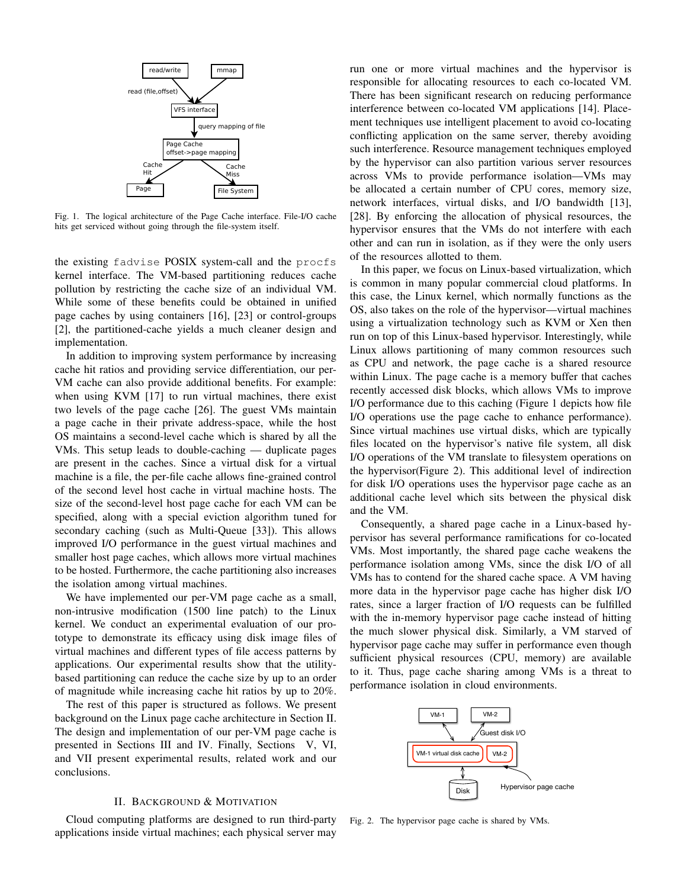

Fig. 1. The logical architecture of the Page Cache interface. File-I/O cache hits get serviced without going through the file-system itself.

the existing fadvise POSIX system-call and the procfs kernel interface. The VM-based partitioning reduces cache pollution by restricting the cache size of an individual VM. While some of these benefits could be obtained in unified page caches by using containers [16], [23] or control-groups [2], the partitioned-cache yields a much cleaner design and implementation.

In addition to improving system performance by increasing cache hit ratios and providing service differentiation, our per-VM cache can also provide additional benefits. For example: when using KVM [17] to run virtual machines, there exist two levels of the page cache [26]. The guest VMs maintain a page cache in their private address-space, while the host OS maintains a second-level cache which is shared by all the VMs. This setup leads to double-caching — duplicate pages are present in the caches. Since a virtual disk for a virtual machine is a file, the per-file cache allows fine-grained control of the second level host cache in virtual machine hosts. The size of the second-level host page cache for each VM can be specified, along with a special eviction algorithm tuned for secondary caching (such as Multi-Queue [33]). This allows improved I/O performance in the guest virtual machines and smaller host page caches, which allows more virtual machines to be hosted. Furthermore, the cache partitioning also increases the isolation among virtual machines.

We have implemented our per-VM page cache as a small, non-intrusive modification (1500 line patch) to the Linux kernel. We conduct an experimental evaluation of our prototype to demonstrate its efficacy using disk image files of virtual machines and different types of file access patterns by applications. Our experimental results show that the utilitybased partitioning can reduce the cache size by up to an order of magnitude while increasing cache hit ratios by up to 20%.

The rest of this paper is structured as follows. We present background on the Linux page cache architecture in Section II. The design and implementation of our per-VM page cache is presented in Sections III and IV. Finally, Sections V, VI, and VII present experimental results, related work and our conclusions.

#### II. BACKGROUND & MOTIVATION

Cloud computing platforms are designed to run third-party applications inside virtual machines; each physical server may run one or more virtual machines and the hypervisor is responsible for allocating resources to each co-located VM. There has been significant research on reducing performance interference between co-located VM applications [14]. Placement techniques use intelligent placement to avoid co-locating conflicting application on the same server, thereby avoiding such interference. Resource management techniques employed by the hypervisor can also partition various server resources across VMs to provide performance isolation—VMs may be allocated a certain number of CPU cores, memory size, network interfaces, virtual disks, and I/O bandwidth [13], [28]. By enforcing the allocation of physical resources, the hypervisor ensures that the VMs do not interfere with each other and can run in isolation, as if they were the only users of the resources allotted to them.

In this paper, we focus on Linux-based virtualization, which is common in many popular commercial cloud platforms. In this case, the Linux kernel, which normally functions as the OS, also takes on the role of the hypervisor—virtual machines using a virtualization technology such as KVM or Xen then run on top of this Linux-based hypervisor. Interestingly, while Linux allows partitioning of many common resources such as CPU and network, the page cache is a shared resource within Linux. The page cache is a memory buffer that caches recently accessed disk blocks, which allows VMs to improve I/O performance due to this caching (Figure 1 depicts how file I/O operations use the page cache to enhance performance). Since virtual machines use virtual disks, which are typically files located on the hypervisor's native file system, all disk I/O operations of the VM translate to filesystem operations on the hypervisor(Figure 2). This additional level of indirection for disk I/O operations uses the hypervisor page cache as an additional cache level which sits between the physical disk and the VM.

Consequently, a shared page cache in a Linux-based hypervisor has several performance ramifications for co-located VMs. Most importantly, the shared page cache weakens the performance isolation among VMs, since the disk I/O of all VMs has to contend for the shared cache space. A VM having more data in the hypervisor page cache has higher disk I/O rates, since a larger fraction of I/O requests can be fulfilled with the in-memory hypervisor page cache instead of hitting the much slower physical disk. Similarly, a VM starved of hypervisor page cache may suffer in performance even though sufficient physical resources (CPU, memory) are available to it. Thus, page cache sharing among VMs is a threat to performance isolation in cloud environments.



Fig. 2. The hypervisor page cache is shared by VMs.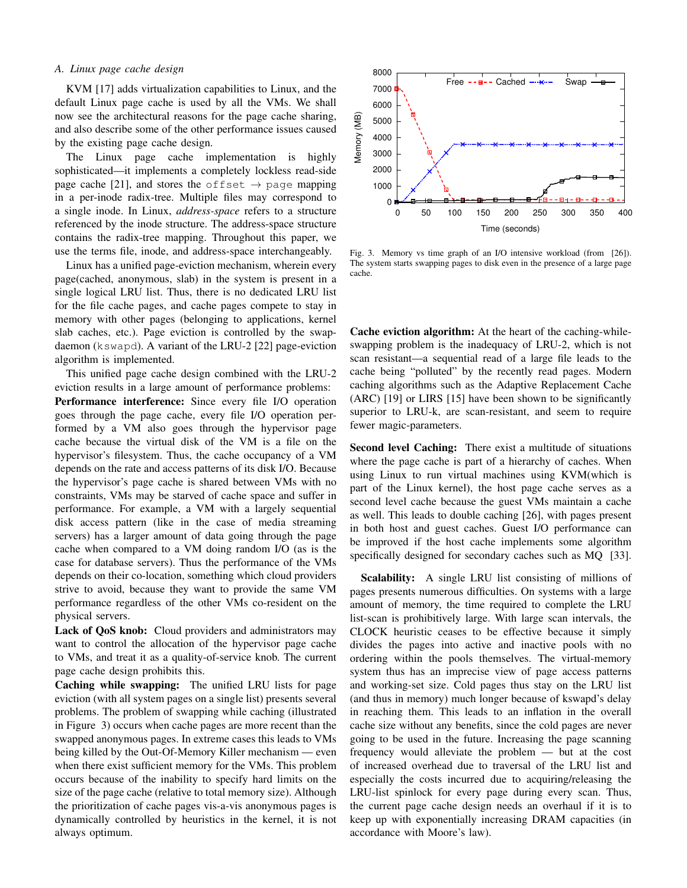# *A. Linux page cache design*

KVM [17] adds virtualization capabilities to Linux, and the default Linux page cache is used by all the VMs. We shall now see the architectural reasons for the page cache sharing, and also describe some of the other performance issues caused by the existing page cache design.

The Linux page cache implementation is highly sophisticated—it implements a completely lockless read-side page cache [21], and stores the offset  $\rightarrow$  page mapping in a per-inode radix-tree. Multiple files may correspond to a single inode. In Linux, *address-space* refers to a structure referenced by the inode structure. The address-space structure contains the radix-tree mapping. Throughout this paper, we use the terms file, inode, and address-space interchangeably.

Linux has a unified page-eviction mechanism, wherein every page(cached, anonymous, slab) in the system is present in a single logical LRU list. Thus, there is no dedicated LRU list for the file cache pages, and cache pages compete to stay in memory with other pages (belonging to applications, kernel slab caches, etc.). Page eviction is controlled by the swapdaemon (kswapd). A variant of the LRU-2 [22] page-eviction algorithm is implemented.

This unified page cache design combined with the LRU-2 eviction results in a large amount of performance problems: Performance interference: Since every file I/O operation goes through the page cache, every file I/O operation performed by a VM also goes through the hypervisor page cache because the virtual disk of the VM is a file on the hypervisor's filesystem. Thus, the cache occupancy of a VM depends on the rate and access patterns of its disk I/O. Because the hypervisor's page cache is shared between VMs with no constraints, VMs may be starved of cache space and suffer in performance. For example, a VM with a largely sequential disk access pattern (like in the case of media streaming servers) has a larger amount of data going through the page cache when compared to a VM doing random I/O (as is the case for database servers). Thus the performance of the VMs depends on their co-location, something which cloud providers strive to avoid, because they want to provide the same VM performance regardless of the other VMs co-resident on the physical servers.

Lack of QoS knob: Cloud providers and administrators may want to control the allocation of the hypervisor page cache to VMs, and treat it as a quality-of-service knob. The current page cache design prohibits this.

Caching while swapping: The unified LRU lists for page eviction (with all system pages on a single list) presents several problems. The problem of swapping while caching (illustrated in Figure 3) occurs when cache pages are more recent than the swapped anonymous pages. In extreme cases this leads to VMs being killed by the Out-Of-Memory Killer mechanism — even when there exist sufficient memory for the VMs. This problem occurs because of the inability to specify hard limits on the size of the page cache (relative to total memory size). Although the prioritization of cache pages vis-a-vis anonymous pages is dynamically controlled by heuristics in the kernel, it is not always optimum.



Fig. 3. Memory vs time graph of an I/O intensive workload (from [26]). The system starts swapping pages to disk even in the presence of a large page cache.

Cache eviction algorithm: At the heart of the caching-whileswapping problem is the inadequacy of LRU-2, which is not scan resistant—a sequential read of a large file leads to the cache being "polluted" by the recently read pages. Modern caching algorithms such as the Adaptive Replacement Cache (ARC) [19] or LIRS [15] have been shown to be significantly superior to LRU-k, are scan-resistant, and seem to require fewer magic-parameters.

Second level Caching: There exist a multitude of situations where the page cache is part of a hierarchy of caches. When using Linux to run virtual machines using KVM(which is part of the Linux kernel), the host page cache serves as a second level cache because the guest VMs maintain a cache as well. This leads to double caching [26], with pages present in both host and guest caches. Guest I/O performance can be improved if the host cache implements some algorithm specifically designed for secondary caches such as MQ [33].

Scalability: A single LRU list consisting of millions of pages presents numerous difficulties. On systems with a large amount of memory, the time required to complete the LRU list-scan is prohibitively large. With large scan intervals, the CLOCK heuristic ceases to be effective because it simply divides the pages into active and inactive pools with no ordering within the pools themselves. The virtual-memory system thus has an imprecise view of page access patterns and working-set size. Cold pages thus stay on the LRU list (and thus in memory) much longer because of kswapd's delay in reaching them. This leads to an inflation in the overall cache size without any benefits, since the cold pages are never going to be used in the future. Increasing the page scanning frequency would alleviate the problem — but at the cost of increased overhead due to traversal of the LRU list and especially the costs incurred due to acquiring/releasing the LRU-list spinlock for every page during every scan. Thus, the current page cache design needs an overhaul if it is to keep up with exponentially increasing DRAM capacities (in accordance with Moore's law).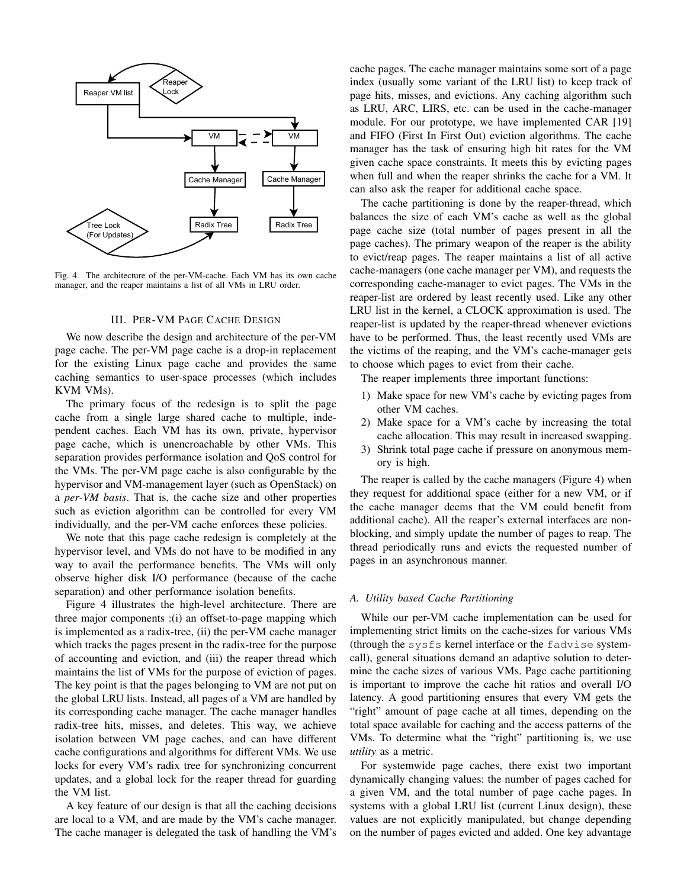

Fig. 4. The architecture of the per-VM-cache. Each VM has its own cache manager, and the reaper maintains a list of all VMs in LRU order.

### III. PER-VM PAGE CACHE DESIGN

We now describe the design and architecture of the per-VM page cache. The per-VM page cache is a drop-in replacement for the existing Linux page cache and provides the same caching semantics to user-space processes (which includes KVM VMs).

The primary focus of the redesign is to split the page cache from a single large shared cache to multiple, independent caches. Each VM has its own, private, hypervisor page cache, which is unencroachable by other VMs. This separation provides performance isolation and QoS control for the VMs. The per-VM page cache is also configurable by the hypervisor and VM-management layer (such as OpenStack) on a *per-VM basis*. That is, the cache size and other properties such as eviction algorithm can be controlled for every VM individually, and the per-VM cache enforces these policies.

We note that this page cache redesign is completely at the hypervisor level, and VMs do not have to be modified in any way to avail the performance benefits. The VMs will only observe higher disk I/O performance (because of the cache separation) and other performance isolation benefits.

Figure 4 illustrates the high-level architecture. There are three major components :(i) an offset-to-page mapping which is implemented as a radix-tree, (ii) the per-VM cache manager which tracks the pages present in the radix-tree for the purpose of accounting and eviction, and (iii) the reaper thread which maintains the list of VMs for the purpose of eviction of pages. The key point is that the pages belonging to VM are not put on the global LRU lists. Instead, all pages of a VM are handled by its corresponding cache manager. The cache manager handles radix-tree hits, misses, and deletes. This way, we achieve isolation between VM page caches, and can have different cache configurations and algorithms for different VMs. We use locks for every VM's radix tree for synchronizing concurrent updates, and a global lock for the reaper thread for guarding the VM list.

A key feature of our design is that all the caching decisions are local to a VM, and are made by the VM's cache manager. The cache manager is delegated the task of handling the VM's cache pages. The cache manager maintains some sort of a page index (usually some variant of the LRU list) to keep track of page hits, misses, and evictions. Any caching algorithm such as LRU, ARC, LIRS, etc. can be used in the cache-manager module. For our prototype, we have implemented CAR [19] and FIFO (First In First Out) eviction algorithms. The cache manager has the task of ensuring high hit rates for the VM given cache space constraints. It meets this by evicting pages when full and when the reaper shrinks the cache for a VM. It can also ask the reaper for additional cache space.

The cache partitioning is done by the reaper-thread, which balances the size of each VM's cache as well as the global page cache size (total number of pages present in all the page caches). The primary weapon of the reaper is the ability to evict/reap pages. The reaper maintains a list of all active cache-managers (one cache manager per VM), and requests the corresponding cache-manager to evict pages. The VMs in the reaper-list are ordered by least recently used. Like any other LRU list in the kernel, a CLOCK approximation is used. The reaper-list is updated by the reaper-thread whenever evictions have to be performed. Thus, the least recently used VMs are the victims of the reaping, and the VM's cache-manager gets to choose which pages to evict from their cache.

The reaper implements three important functions:

- 1) Make space for new VM's cache by evicting pages from other VM caches.
- 2) Make space for a VM's cache by increasing the total cache allocation. This may result in increased swapping.
- 3) Shrink total page cache if pressure on anonymous memory is high.

The reaper is called by the cache managers (Figure 4) when they request for additional space (either for a new VM, or if the cache manager deems that the VM could benefit from additional cache). All the reaper's external interfaces are nonblocking, and simply update the number of pages to reap. The thread periodically runs and evicts the requested number of pages in an asynchronous manner.

# *A. Utility based Cache Partitioning*

While our per-VM cache implementation can be used for implementing strict limits on the cache-sizes for various VMs (through the sysfs kernel interface or the fadvise systemcall), general situations demand an adaptive solution to determine the cache sizes of various VMs. Page cache partitioning is important to improve the cache hit ratios and overall I/O latency. A good partitioning ensures that every VM gets the "right" amount of page cache at all times, depending on the total space available for caching and the access patterns of the VMs. To determine what the "right" partitioning is, we use *utility* as a metric.

For systemwide page caches, there exist two important dynamically changing values: the number of pages cached for a given VM, and the total number of page cache pages. In systems with a global LRU list (current Linux design), these values are not explicitly manipulated, but change depending on the number of pages evicted and added. One key advantage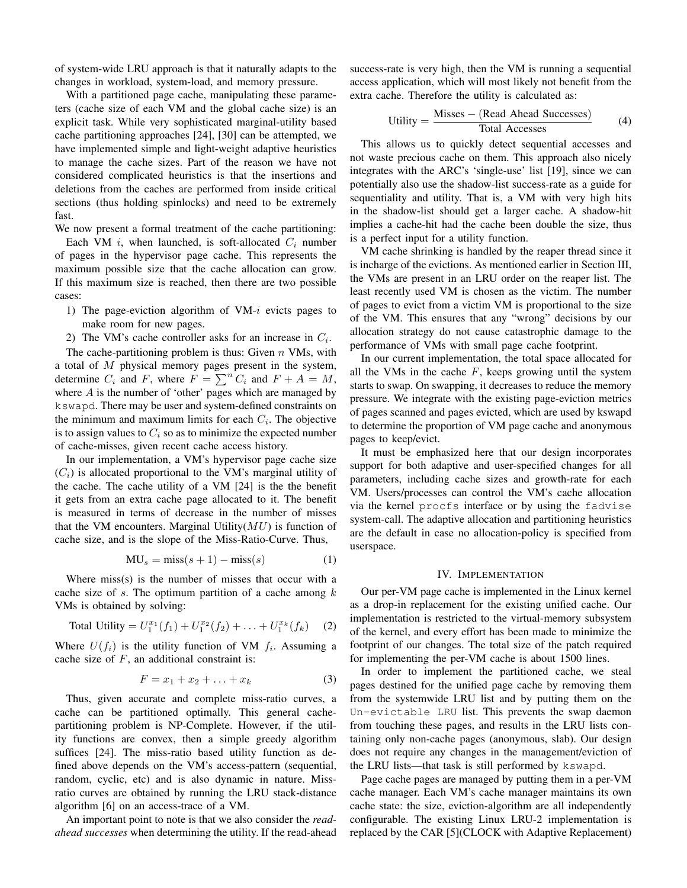of system-wide LRU approach is that it naturally adapts to the changes in workload, system-load, and memory pressure.

With a partitioned page cache, manipulating these parameters (cache size of each VM and the global cache size) is an explicit task. While very sophisticated marginal-utility based cache partitioning approaches [24], [30] can be attempted, we have implemented simple and light-weight adaptive heuristics to manage the cache sizes. Part of the reason we have not considered complicated heuristics is that the insertions and deletions from the caches are performed from inside critical sections (thus holding spinlocks) and need to be extremely fast.

We now present a formal treatment of the cache partitioning: Each VM i, when launched, is soft-allocated  $C_i$  number of pages in the hypervisor page cache. This represents the maximum possible size that the cache allocation can grow. If this maximum size is reached, then there are two possible cases:

- 1) The page-eviction algorithm of  $VM-i$  evicts pages to make room for new pages.
- 2) The VM's cache controller asks for an increase in  $C_i$ .

The cache-partitioning problem is thus: Given  $n$  VMs, with a total of  $M$  physical memory pages present in the system, determine  $C_i$  and F, where  $F = \sum^n C_i$  and  $F + A = M$ , where A is the number of 'other' pages which are managed by kswapd. There may be user and system-defined constraints on the minimum and maximum limits for each  $C_i$ . The objective is to assign values to  $C_i$  so as to minimize the expected number of cache-misses, given recent cache access history.

In our implementation, a VM's hypervisor page cache size  $(C_i)$  is allocated proportional to the VM's marginal utility of the cache. The cache utility of a VM [24] is the the benefit it gets from an extra cache page allocated to it. The benefit is measured in terms of decrease in the number of misses that the VM encounters. Marginal Utility $(MU)$  is function of cache size, and is the slope of the Miss-Ratio-Curve. Thus,

$$
MU_s = miss(s+1) - miss(s)
$$
 (1)

Where miss(s) is the number of misses that occur with a cache size of  $s$ . The optimum partition of a cache among  $k$ VMs is obtained by solving:

Total Utility = 
$$
U_1^{x_1}(f_1) + U_1^{x_2}(f_2) + \ldots + U_1^{x_k}(f_k)
$$
 (2)

Where  $U(f_i)$  is the utility function of VM  $f_i$ . Assuming a cache size of  $F$ , an additional constraint is:

$$
F = x_1 + x_2 + \ldots + x_k \tag{3}
$$

Thus, given accurate and complete miss-ratio curves, a cache can be partitioned optimally. This general cachepartitioning problem is NP-Complete. However, if the utility functions are convex, then a simple greedy algorithm suffices [24]. The miss-ratio based utility function as defined above depends on the VM's access-pattern (sequential, random, cyclic, etc) and is also dynamic in nature. Missratio curves are obtained by running the LRU stack-distance algorithm [6] on an access-trace of a VM.

An important point to note is that we also consider the *readahead successes* when determining the utility. If the read-ahead success-rate is very high, then the VM is running a sequential access application, which will most likely not benefit from the extra cache. Therefore the utility is calculated as:

$$
Utility = \frac{Misses - (Read Ahead Successes)}{Total Accesses}
$$
 (4)

This allows us to quickly detect sequential accesses and not waste precious cache on them. This approach also nicely integrates with the ARC's 'single-use' list [19], since we can potentially also use the shadow-list success-rate as a guide for sequentiality and utility. That is, a VM with very high hits in the shadow-list should get a larger cache. A shadow-hit implies a cache-hit had the cache been double the size, thus is a perfect input for a utility function.

VM cache shrinking is handled by the reaper thread since it is incharge of the evictions. As mentioned earlier in Section III, the VMs are present in an LRU order on the reaper list. The least recently used VM is chosen as the victim. The number of pages to evict from a victim VM is proportional to the size of the VM. This ensures that any "wrong" decisions by our allocation strategy do not cause catastrophic damage to the performance of VMs with small page cache footprint.

In our current implementation, the total space allocated for all the VMs in the cache  $F$ , keeps growing until the system starts to swap. On swapping, it decreases to reduce the memory pressure. We integrate with the existing page-eviction metrics of pages scanned and pages evicted, which are used by kswapd to determine the proportion of VM page cache and anonymous pages to keep/evict.

It must be emphasized here that our design incorporates support for both adaptive and user-specified changes for all parameters, including cache sizes and growth-rate for each VM. Users/processes can control the VM's cache allocation via the kernel procfs interface or by using the fadvise system-call. The adaptive allocation and partitioning heuristics are the default in case no allocation-policy is specified from userspace.

# IV. IMPLEMENTATION

Our per-VM page cache is implemented in the Linux kernel as a drop-in replacement for the existing unified cache. Our implementation is restricted to the virtual-memory subsystem of the kernel, and every effort has been made to minimize the footprint of our changes. The total size of the patch required for implementing the per-VM cache is about 1500 lines.

In order to implement the partitioned cache, we steal pages destined for the unified page cache by removing them from the systemwide LRU list and by putting them on the Un-evictable LRU list. This prevents the swap daemon from touching these pages, and results in the LRU lists containing only non-cache pages (anonymous, slab). Our design does not require any changes in the management/eviction of the LRU lists—that task is still performed by kswapd.

Page cache pages are managed by putting them in a per-VM cache manager. Each VM's cache manager maintains its own cache state: the size, eviction-algorithm are all independently configurable. The existing Linux LRU-2 implementation is replaced by the CAR [5](CLOCK with Adaptive Replacement)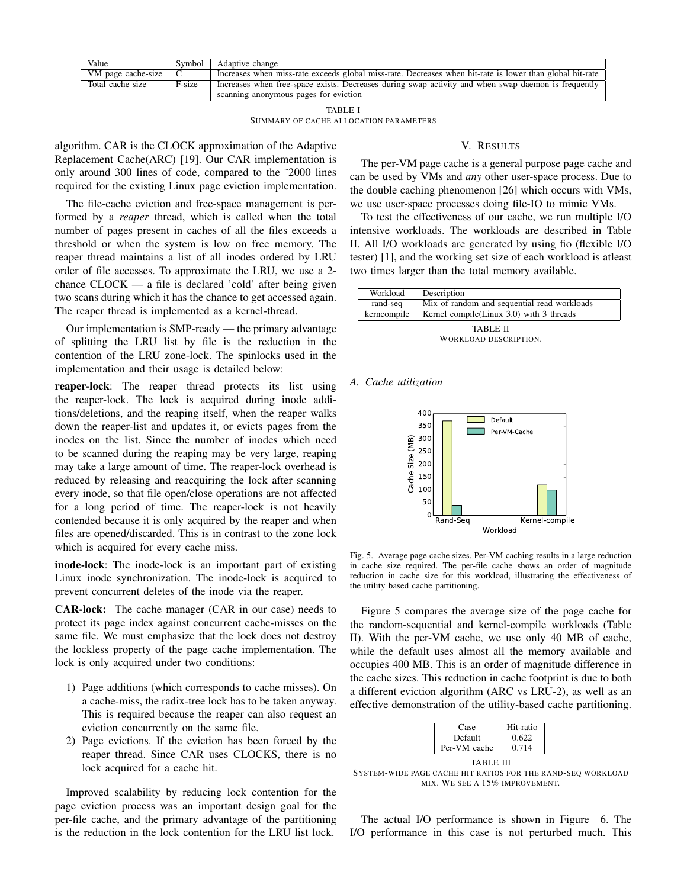| Value              | Symbol | Adaptive change                                                                                                                              |
|--------------------|--------|----------------------------------------------------------------------------------------------------------------------------------------------|
| VM page cache-size |        | Increases when miss-rate exceeds global miss-rate. Decreases when hit-rate is lower than global hit-rate                                     |
| Total cache size   | F-size | Increases when free-space exists. Decreases during swap activity and when swap daemon is frequently<br>scanning anonymous pages for eviction |
|                    |        |                                                                                                                                              |

TABLE I SUMMARY OF CACHE ALLOCATION PARAMETERS

algorithm. CAR is the CLOCK approximation of the Adaptive Replacement Cache(ARC) [19]. Our CAR implementation is only around 300 lines of code, compared to the ˜2000 lines required for the existing Linux page eviction implementation.

The file-cache eviction and free-space management is performed by a *reaper* thread, which is called when the total number of pages present in caches of all the files exceeds a threshold or when the system is low on free memory. The reaper thread maintains a list of all inodes ordered by LRU order of file accesses. To approximate the LRU, we use a 2 chance CLOCK — a file is declared 'cold' after being given two scans during which it has the chance to get accessed again. The reaper thread is implemented as a kernel-thread.

Our implementation is SMP-ready — the primary advantage of splitting the LRU list by file is the reduction in the contention of the LRU zone-lock. The spinlocks used in the implementation and their usage is detailed below:

reaper-lock: The reaper thread protects its list using the reaper-lock. The lock is acquired during inode additions/deletions, and the reaping itself, when the reaper walks down the reaper-list and updates it, or evicts pages from the inodes on the list. Since the number of inodes which need to be scanned during the reaping may be very large, reaping may take a large amount of time. The reaper-lock overhead is reduced by releasing and reacquiring the lock after scanning every inode, so that file open/close operations are not affected for a long period of time. The reaper-lock is not heavily contended because it is only acquired by the reaper and when files are opened/discarded. This is in contrast to the zone lock which is acquired for every cache miss.

inode-lock: The inode-lock is an important part of existing Linux inode synchronization. The inode-lock is acquired to prevent concurrent deletes of the inode via the reaper.

CAR-lock: The cache manager (CAR in our case) needs to protect its page index against concurrent cache-misses on the same file. We must emphasize that the lock does not destroy the lockless property of the page cache implementation. The lock is only acquired under two conditions:

- 1) Page additions (which corresponds to cache misses). On a cache-miss, the radix-tree lock has to be taken anyway. This is required because the reaper can also request an eviction concurrently on the same file.
- 2) Page evictions. If the eviction has been forced by the reaper thread. Since CAR uses CLOCKS, there is no lock acquired for a cache hit.

Improved scalability by reducing lock contention for the page eviction process was an important design goal for the per-file cache, and the primary advantage of the partitioning is the reduction in the lock contention for the LRU list lock.

# V. RESULTS

The per-VM page cache is a general purpose page cache and can be used by VMs and *any* other user-space process. Due to the double caching phenomenon [26] which occurs with VMs, we use user-space processes doing file-IO to mimic VMs.

To test the effectiveness of our cache, we run multiple I/O intensive workloads. The workloads are described in Table II. All I/O workloads are generated by using fio (flexible I/O tester) [1], and the working set size of each workload is atleast two times larger than the total memory available.

| Workload    | Description                                 |
|-------------|---------------------------------------------|
| rand-seq    | Mix of random and sequential read workloads |
| kerncompile | Kernel compile(Linux $3.0$ ) with 3 threads |
|             |                                             |

TABLE II WORKLOAD DESCRIPTION.

# *A. Cache utilization*



Fig. 5. Average page cache sizes. Per-VM caching results in a large reduction in cache size required. The per-file cache shows an order of magnitude reduction in cache size for this workload, illustrating the effectiveness of the utility based cache partitioning.

Figure 5 compares the average size of the page cache for the random-sequential and kernel-compile workloads (Table II). With the per-VM cache, we use only 40 MB of cache, while the default uses almost all the memory available and occupies 400 MB. This is an order of magnitude difference in the cache sizes. This reduction in cache footprint is due to both a different eviction algorithm (ARC vs LRU-2), as well as an effective demonstration of the utility-based cache partitioning.

| Case         | Hit-ratio |  |  |
|--------------|-----------|--|--|
| Default      | 0.622     |  |  |
| Per-VM cache | 0.714     |  |  |
| TABLE III    |           |  |  |

SYSTEM-WIDE PAGE CACHE HIT RATIOS FOR THE RAND-SEQ WORKLOAD MIX. WE SEE A 15% IMPROVEMENT.

The actual I/O performance is shown in Figure 6. The I/O performance in this case is not perturbed much. This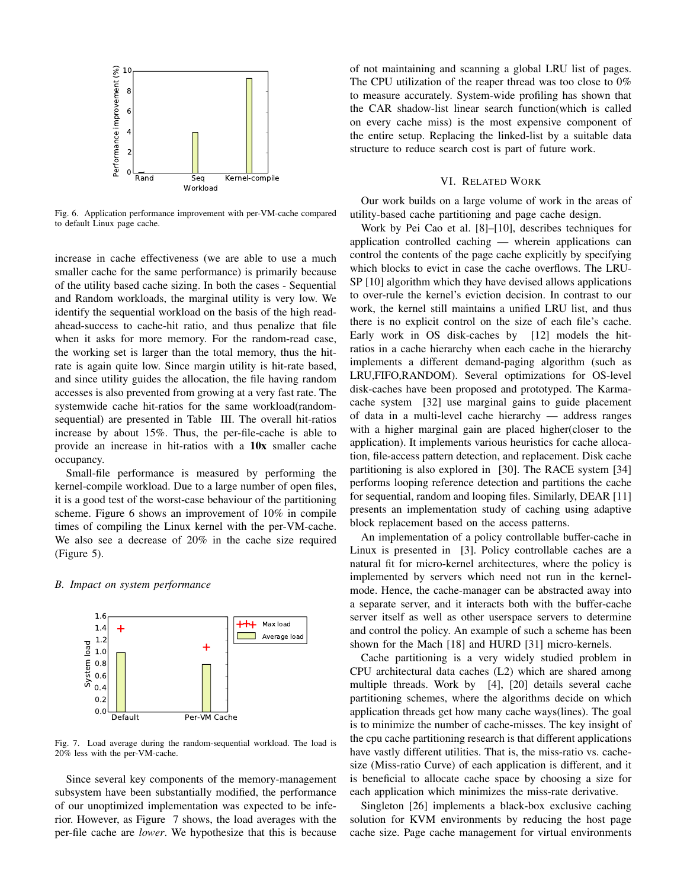

Fig. 6. Application performance improvement with per-VM-cache compared to default Linux page cache.

increase in cache effectiveness (we are able to use a much smaller cache for the same performance) is primarily because of the utility based cache sizing. In both the cases - Sequential and Random workloads, the marginal utility is very low. We identify the sequential workload on the basis of the high readahead-success to cache-hit ratio, and thus penalize that file when it asks for more memory. For the random-read case, the working set is larger than the total memory, thus the hitrate is again quite low. Since margin utility is hit-rate based, and since utility guides the allocation, the file having random accesses is also prevented from growing at a very fast rate. The systemwide cache hit-ratios for the same workload(randomsequential) are presented in Table III. The overall hit-ratios increase by about 15%. Thus, the per-file-cache is able to provide an increase in hit-ratios with a 10x smaller cache occupancy.

Small-file performance is measured by performing the kernel-compile workload. Due to a large number of open files, it is a good test of the worst-case behaviour of the partitioning scheme. Figure 6 shows an improvement of 10% in compile times of compiling the Linux kernel with the per-VM-cache. We also see a decrease of 20% in the cache size required (Figure 5).

### *B. Impact on system performance*



Fig. 7. Load average during the random-sequential workload. The load is 20% less with the per-VM-cache.

Since several key components of the memory-management subsystem have been substantially modified, the performance of our unoptimized implementation was expected to be inferior. However, as Figure 7 shows, the load averages with the per-file cache are *lower*. We hypothesize that this is because

of not maintaining and scanning a global LRU list of pages. The CPU utilization of the reaper thread was too close to 0% to measure accurately. System-wide profiling has shown that the CAR shadow-list linear search function(which is called on every cache miss) is the most expensive component of the entire setup. Replacing the linked-list by a suitable data structure to reduce search cost is part of future work.

### VI. RELATED WORK

Our work builds on a large volume of work in the areas of utility-based cache partitioning and page cache design.

Work by Pei Cao et al. [8]–[10], describes techniques for application controlled caching — wherein applications can control the contents of the page cache explicitly by specifying which blocks to evict in case the cache overflows. The LRU-SP [10] algorithm which they have devised allows applications to over-rule the kernel's eviction decision. In contrast to our work, the kernel still maintains a unified LRU list, and thus there is no explicit control on the size of each file's cache. Early work in OS disk-caches by [12] models the hitratios in a cache hierarchy when each cache in the hierarchy implements a different demand-paging algorithm (such as LRU,FIFO,RANDOM). Several optimizations for OS-level disk-caches have been proposed and prototyped. The Karmacache system [32] use marginal gains to guide placement of data in a multi-level cache hierarchy — address ranges with a higher marginal gain are placed higher(closer to the application). It implements various heuristics for cache allocation, file-access pattern detection, and replacement. Disk cache partitioning is also explored in [30]. The RACE system [34] performs looping reference detection and partitions the cache for sequential, random and looping files. Similarly, DEAR [11] presents an implementation study of caching using adaptive block replacement based on the access patterns.

An implementation of a policy controllable buffer-cache in Linux is presented in [3]. Policy controllable caches are a natural fit for micro-kernel architectures, where the policy is implemented by servers which need not run in the kernelmode. Hence, the cache-manager can be abstracted away into a separate server, and it interacts both with the buffer-cache server itself as well as other userspace servers to determine and control the policy. An example of such a scheme has been shown for the Mach [18] and HURD [31] micro-kernels.

Cache partitioning is a very widely studied problem in CPU architectural data caches (L2) which are shared among multiple threads. Work by [4], [20] details several cache partitioning schemes, where the algorithms decide on which application threads get how many cache ways(lines). The goal is to minimize the number of cache-misses. The key insight of the cpu cache partitioning research is that different applications have vastly different utilities. That is, the miss-ratio vs. cachesize (Miss-ratio Curve) of each application is different, and it is beneficial to allocate cache space by choosing a size for each application which minimizes the miss-rate derivative.

Singleton [26] implements a black-box exclusive caching solution for KVM environments by reducing the host page cache size. Page cache management for virtual environments